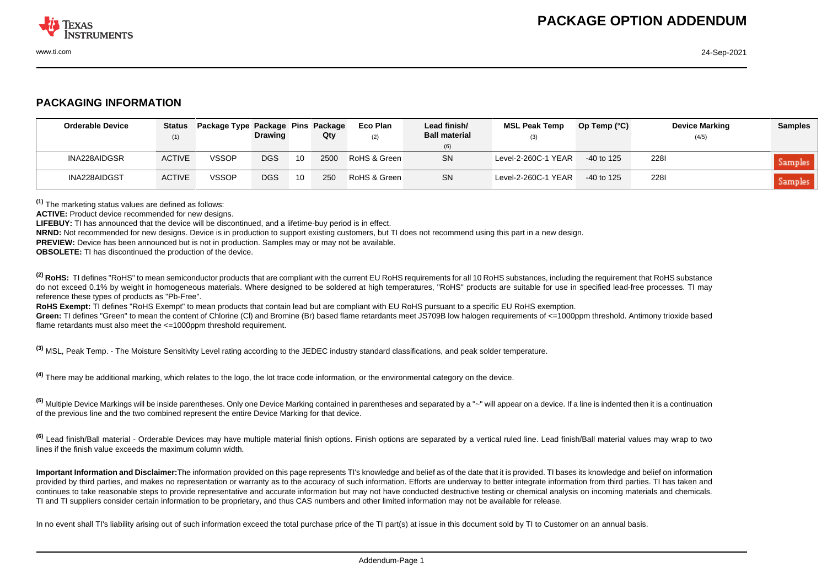

## **PACKAGING INFORMATION**

| <b>Orderable Device</b> | <b>Status</b><br>(1) | Package Type Package Pins Package | <b>Drawing</b> |    | Qty  | Eco Plan<br>(2) | Lead finish/<br><b>Ball material</b> | <b>MSL Peak Temp</b><br>(3) | Op Temp $(^{\circ}C)$ | <b>Device Marking</b><br>(4/5) | <b>Samples</b> |
|-------------------------|----------------------|-----------------------------------|----------------|----|------|-----------------|--------------------------------------|-----------------------------|-----------------------|--------------------------------|----------------|
|                         |                      |                                   |                |    |      |                 | (6)                                  |                             |                       |                                |                |
| INA228AIDGSR            | <b>ACTIVE</b>        | <b>VSSOP</b>                      | <b>DGS</b>     | 10 | 2500 | RoHS & Green    | <b>SN</b>                            | Level-2-260C-1 YEAR         | $-40$ to 125          | <b>2281</b>                    | Samples        |
| INA228AIDGST            | <b>ACTIVE</b>        | <b>VSSOP</b>                      | <b>DGS</b>     | 10 | 250  | RoHS & Green    | SN                                   | Level-2-260C-1 YEAR         | $-40$ to 125          | <b>2281</b>                    | Samples        |

**(1)** The marketing status values are defined as follows:

**ACTIVE:** Product device recommended for new designs.

**LIFEBUY:** TI has announced that the device will be discontinued, and a lifetime-buy period is in effect.

**NRND:** Not recommended for new designs. Device is in production to support existing customers, but TI does not recommend using this part in a new design.

**PREVIEW:** Device has been announced but is not in production. Samples may or may not be available.

**OBSOLETE:** TI has discontinued the production of the device.

<sup>(2)</sup> RoHS: TI defines "RoHS" to mean semiconductor products that are compliant with the current EU RoHS requirements for all 10 RoHS substances, including the requirement that RoHS substance do not exceed 0.1% by weight in homogeneous materials. Where designed to be soldered at high temperatures. "RoHS" products are suitable for use in specified lead-free processes. TI may reference these types of products as "Pb-Free".

**RoHS Exempt:** TI defines "RoHS Exempt" to mean products that contain lead but are compliant with EU RoHS pursuant to a specific EU RoHS exemption.

Green: TI defines "Green" to mean the content of Chlorine (CI) and Bromine (Br) based flame retardants meet JS709B low halogen requirements of <=1000ppm threshold. Antimony trioxide based flame retardants must also meet the <=1000ppm threshold requirement.

**(3)** MSL, Peak Temp. - The Moisture Sensitivity Level rating according to the JEDEC industry standard classifications, and peak solder temperature.

**(4)** There may be additional marking, which relates to the logo, the lot trace code information, or the environmental category on the device.

**(5)** Multiple Device Markings will be inside parentheses. Only one Device Marking contained in parentheses and separated by a "~" will appear on a device. If a line is indented then it is a continuation of the previous line and the two combined represent the entire Device Marking for that device.

**(6)** Lead finish/Ball material - Orderable Devices may have multiple material finish options. Finish options are separated by a vertical ruled line. Lead finish/Ball material values may wrap to two lines if the finish value exceeds the maximum column width.

**Important Information and Disclaimer:**The information provided on this page represents TI's knowledge and belief as of the date that it is provided. TI bases its knowledge and belief on information provided by third parties, and makes no representation or warranty as to the accuracy of such information. Efforts are underway to better integrate information from third parties. TI has taken and continues to take reasonable steps to provide representative and accurate information but may not have conducted destructive testing or chemical analysis on incoming materials and chemicals. TI and TI suppliers consider certain information to be proprietary, and thus CAS numbers and other limited information may not be available for release.

In no event shall TI's liability arising out of such information exceed the total purchase price of the TI part(s) at issue in this document sold by TI to Customer on an annual basis.